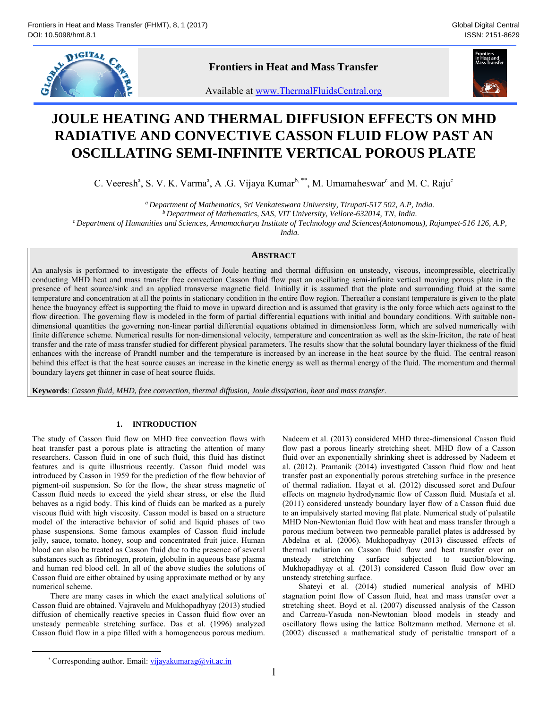

**Frontiers in Heat and Mass Transfer** 



Available at www.ThermalFluidsCentral.org

# **JOULE HEATING AND THERMAL DIFFUSION EFFECTS ON MHD RADIATIVE AND CONVECTIVE CASSON FLUID FLOW PAST AN OSCILLATING SEMI-INFINITE VERTICAL POROUS PLATE**

C. Veeresh<sup>a</sup>, S. V. K. Varma<sup>a</sup>, A .G. Vijaya Kumar<sup>b,\*\*</sup>, M. Umamaheswar<sup>c</sup> and M. C. Raju<sup>c</sup>

<sup>a</sup> Department of Mathematics, Sri Venkateswara University, Tirupati-517 502, A.P, India.<br><sup>b</sup> Department of Mathematics, SAS, VIT University, Vellore-632014, TN, India.<br>Department of Humanities and Sciences, Annamacharya I

*India.* 

# **ABSTRACT**

An analysis is performed to investigate the effects of Joule heating and thermal diffusion on unsteady, viscous, incompressible, electrically conducting MHD heat and mass transfer free convection Casson fluid flow past an oscillating semi-infinite vertical moving porous plate in the presence of heat source/sink and an applied transverse magnetic field. Initially it is assumed that the plate and surrounding fluid at the same temperature and concentration at all the points in stationary condition in the entire flow region. Thereafter a constant temperature is given to the plate hence the buoyancy effect is supporting the fluid to move in upward direction and is assumed that gravity is the only force which acts against to the flow direction. The governing flow is modeled in the form of partial differential equations with initial and boundary conditions. With suitable nondimensional quantities the governing non-linear partial differential equations obtained in dimensionless form, which are solved numerically with finite difference scheme. Numerical results for non-dimensional velocity, temperature and concentration as well as the skin-friciton, the rate of heat transfer and the rate of mass transfer studied for different physical parameters. The results show that the solutal boundary layer thickness of the fluid enhances with the increase of Prandtl number and the temperature is increased by an increase in the heat source by the fluid. The central reason behind this effect is that the heat source causes an increase in the kinetic energy as well as thermal energy of the fluid. The momentum and thermal boundary layers get thinner in case of heat source fluids.

**Keywords**: *Casson fluid, MHD, free convection, thermal diffusion, Joule dissipation, heat and mass transfer*.

# **1. INTRODUCTION**

The study of Casson fluid flow on MHD free convection flows with heat transfer past a porous plate is attracting the attention of many researchers. Casson fluid in one of such fluid, this fluid has distinct features and is quite illustrious recently. Casson fluid model was introduced by Casson in 1959 for the prediction of the flow behavior of pigment-oil suspension. So for the flow, the shear stress magnetic of Casson fluid needs to exceed the yield shear stress, or else the fluid behaves as a rigid body. This kind of fluids can be marked as a purely viscous fluid with high viscosity. Casson model is based on a structure model of the interactive behavior of solid and liquid phases of two phase suspensions. Some famous examples of Casson fluid include jelly, sauce, tomato, honey, soup and concentrated fruit juice. Human blood can also be treated as Casson fluid due to the presence of several substances such as fibrinogen, protein, globulin in aqueous base plasma and human red blood cell. In all of the above studies the solutions of Casson fluid are either obtained by using approximate method or by any numerical scheme.

 There are many cases in which the exact analytical solutions of Casson fluid are obtained. Vajravelu and Mukhopadhyay (2013) studied diffusion of chemically reactive species in Casson fluid flow over an unsteady permeable stretching surface. Das et al. (1996) analyzed Casson fluid flow in a pipe filled with a homogeneous porous medium.

Nadeem et al. (2013) considered MHD three-dimensional Casson fluid flow past a porous linearly stretching sheet. MHD flow of a Casson fluid over an exponentially shrinking sheet is addressed by Nadeem et al. (2012). Pramanik (2014) investigated Casson fluid flow and heat transfer past an exponentially porous stretching surface in the presence of thermal radiation. Hayat et al. (2012) discussed soret and Dufour effects on magneto hydrodynamic flow of Casson fluid. Mustafa et al. (2011) considered unsteady boundary layer flow of a Casson fluid due to an impulsively started moving flat plate. Numerical study of pulsatile MHD Non-Newtonian fluid flow with heat and mass transfer through a porous medium between two permeable parallel plates is addressed by Abdelna et al. (2006). Mukhopadhyay (2013) discussed effects of thermal radiation on Casson fluid flow and heat transfer over an unsteady stretching surface subjected to suction/blowing. Mukhopadhyay et al. (2013) considered Casson fluid flow over an unsteady stretching surface.

Shateyi et al. (2014) studied numerical analysis of MHD stagnation point flow of Casson fluid, heat and mass transfer over a stretching sheet. Boyd et al. (2007) discussed analysis of the Casson and Carreau-Yasuda non-Newtonian blood models in steady and oscillatory flows using the lattice Boltzmann method. Mernone et al. (2002) discussed a mathematical study of peristaltic transport of a

<sup>\*</sup> Corresponding author. Email: vijayakumarag@vit.ac.in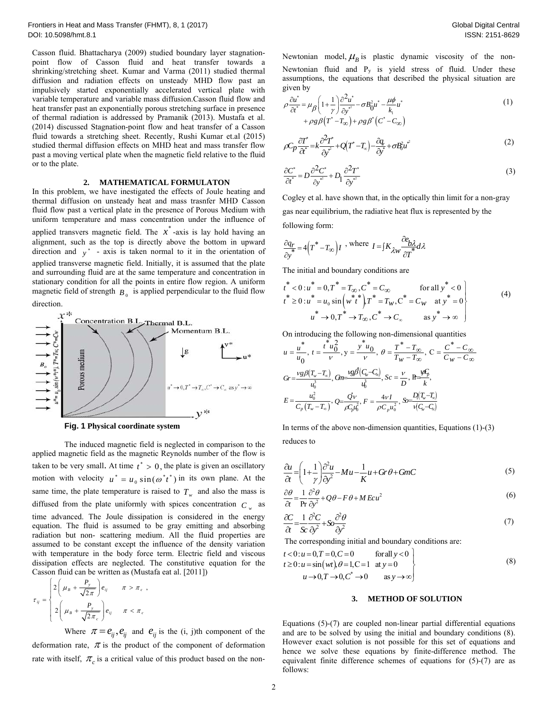Casson fluid. Bhattacharya (2009) studied boundary layer stagnationpoint flow of Casson fluid and heat transfer towards a shrinking/stretching sheet. Kumar and Varma (2011) studied thermal diffusion and radiation effects on unsteady MHD flow past an impulsively started exponentially accelerated vertical plate with variable temperature and variable mass diffusion.Casson fluid flow and heat transfer past an exponentially porous stretching surface in presence of thermal radiation is addressed by Pramanik (2013). Mustafa et al. (2014) discussed Stagnation-point flow and heat transfer of a Casson fluid towards a stretching sheet. Recently, Rushi Kumar et.al (2015) studied thermal diffusion effects on MHD heat and mass transfer flow past a moving vertical plate when the magnetic field relative to the fluid or to the plate.

# **2. MATHEMATICAL FORMULATON**

In this problem, we have inestigated the effects of Joule heating and thermal diffusion on unsteady heat and mass trasnfer MHD Casson fluid flow past a vertical plate in the presence of Porous Medium with uniform temperature and mass concentration under the influence of applied transvers magnetic field. The  $x^*$ -axis is lay hold having an alignment, such as the top is directly above the bottom in upward direction and  $y^*$  - axis is taken normal to it in the orientation of applied transverse magnetic field. Initially, it is assumed that the plate and surrounding fluid are at the same temperature and concentration in stationary condition for all the points in entire flow region. A uniform magnetic field of strength  $B_0$  is applied perpendicular to the fluid flow direction.



**Fig. 1 Physical coordinate system** 

The induced magnetic field is neglected in comparison to the applied magnetic field as the magnetic Reynolds number of the flow is taken to be very small. At time  $t^* > 0$ , the plate is given an oscillatory motion with velocity  $u^* = u_0 \sin(\omega^* t^*)$  in its own plane. At the same time, the plate temperature is raised to  $T_w$  and also the mass is diffused from the plate uniformly with spices concentration  $C_w$  as time advanced. The Joule dissipation is considered in the energy equation. The fluid is assumed to be gray emitting and absorbing radiation but non- scattering medium. All the fluid properties are assumed to be constant except the influence of the density variation with temperature in the body force term. Electric field and viscous dissipation effects are neglected. The constitutive equation for the Casson fluid can be written as (Mustafa eat al. [2011])

$$
\tau_{ij} = \begin{cases} 2\left(\mu_B + \frac{P_y}{\sqrt{2\pi}}\right) e_{ij} & \pi > \pi_c, \\ 2\left(\mu_B + \frac{P_y}{\sqrt{2\pi_c}}\right) e_{ij} & \pi < \pi_c \end{cases}
$$

Where  $\pi = e_{ij}, e_{ij}$  and  $e_{ij}$  is the (i, j)th component of the deformation rate,  $\pi$  is the product of the component of deformation rate with itself,  $\pi_c$  is a critical value of this product based on the non-

Newtonian model,  $\mu_B$  is plastic dynamic viscosity of the non-Newtonian fluid and Py is yield stress of fluid. Under these assumptions, the equations that described the physical situation are given by

$$
\rho \frac{\partial u^*}{\partial t^*} = \mu_\beta \left( 1 + \frac{1}{\gamma} \right) \frac{\partial^2 u^*}{\partial y^*} - \sigma B_0^2 u^* - \frac{\mu \phi}{k_1} u^* + \rho g \beta \left( T^* - T_\infty \right) + \rho g \beta^* \left( C^* - C_\infty \right)
$$
\n<sup>(1)</sup>

$$
\rho C_p \frac{\partial T^*}{\partial t^*} = k \frac{\partial^2 T^*}{\partial y^*} + Q(T^* - T_\infty) - \frac{\partial q_r}{\partial y^*} + \sigma B_0^2 u^{*2}
$$
\n<sup>(2)</sup>

$$
\frac{\partial C^*}{\partial t^*} = D \frac{\partial^2 C^*}{\partial y^{*^2}} + D_1 \frac{\partial^2 T^*}{\partial y^{*^2}} \tag{3}
$$

Cogley et al. have shown that, in the optically thin limit for a non-gray gas near equilibrium, the radiative heat flux is represented by the following form:

$$
\frac{\partial q_r}{\partial y^*} = 4(T^* - T_\infty)I \; \text{, where } I = \int K_{\lambda w} \frac{\partial e_{b\lambda}}{\partial T^*} d\lambda
$$

The initial and boundary conditions are

$$
t^* < 0: u^* = 0, T^* = T_{\infty}, C^* = C_{\infty} \quad \text{for all } y^* < 0
$$
  
\n
$$
t^* \ge 0: u^* = u_0 \sin \left(w^* t^*\right) T^* = T_W, C^* = C_W \quad \text{at } y^* = 0
$$
  
\n
$$
u^* \to 0, T^* \to T_{\infty}, C^* \to C_{\infty} \quad \text{as } y^* \to \infty
$$
\n(4)

On introducing the following non-dimensional quantities

$$
u = \frac{u^*}{u_0}, \ t = \frac{t^* u_0^2}{v}, \ y = \frac{y^* u_0}{v}, \ \theta = \frac{T^* - T_{\infty}}{T_W - T_{\infty}}, \ C = \frac{C^* - C_{\infty}}{C_W - C_{\infty}}
$$
\n
$$
Gr = \frac{v g \beta (T_w - T_{\infty})}{u_0^3}, \ G = \frac{v g \beta (C_w - C_{\infty})}{u_0^3}, \ Sc = \frac{v}{D}, \ \ R = \frac{w \beta}{k},
$$
\n
$$
E = \frac{u_0^2}{C_p (T_w - T_{\infty})}, \ Q = \frac{\vec{Q}v}{\rho C_p u_0^2}, \ F = \frac{4v I}{\rho C_p u_0^2}, \ \ S = \frac{D(T_w - T_{\infty})}{V(C_w - C_{\infty})}
$$

In terms of the above non-dimension quantities, Equations (1)-(3) reduces to

$$
\frac{\partial u}{\partial t} = \left(1 + \frac{1}{\gamma}\right) \frac{\partial^2 u}{\partial y^2} - Mu - \frac{1}{K}u + Gr\theta + GmC\tag{5}
$$

$$
\frac{\partial \theta}{\partial t} = \frac{1}{\text{Pr}} \frac{\partial^2 \theta}{\partial y^2} + Q\theta - F\theta + MEcu^2
$$
 (6)

$$
\frac{\partial C}{\partial t} = \frac{1}{Sc} \frac{\partial^2 C}{\partial y^2} + S_0 \frac{\partial^2 \theta}{\partial y^2}
$$
\n<sup>(7)</sup>

The corresponding initial and boundary conditions are:

 \* 0: 0, 0, 0 forall 0 0: sin , 1,C 1 at 0 0, 0, 0 as *t uTC y t u wt y uTC y* (8)

#### **3. METHOD OF SOLUTION**

Equations (5)-(7) are coupled non-linear partial differential equations and are to be solved by using the initial and boundary conditions (8). However exact solution is not possible for this set of equations and hence we solve these equations by finite-difference method. The equivalent finite difference schemes of equations for (5)-(7) are as follows: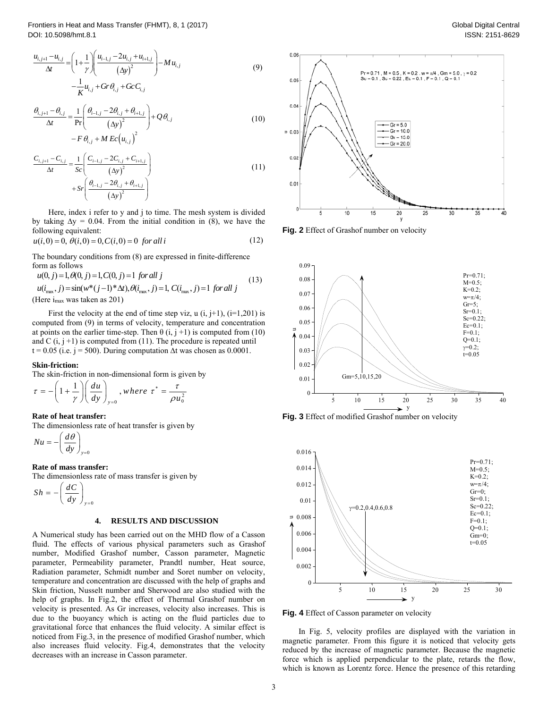$$
\frac{u_{i,j+1} - u_{i,j}}{\Delta t} = \left(1 + \frac{1}{\gamma}\right) \left(\frac{u_{i-1,j} - 2u_{i,j} + u_{i+1,j}}{(\Delta y)^2}\right) - M u_{i,j} - \frac{1}{K} u_{i,j} + Gr \theta_{i,j} + Gc C_{i,j}
$$
\n(9)

$$
\frac{\theta_{i,j+1} - \theta_{i,j}}{\Delta t} = \frac{1}{\Pr} \left( \frac{\theta_{i-1,j} - 2\theta_{i,j} + \theta_{i+1,j}}{\left(\Delta y\right)^2} \right) + Q\theta_{i,j}
$$
\n
$$
- F\theta_{i,j} + M E c \left(u_{i,j}\right)^2 \tag{10}
$$

$$
\frac{C_{i,j+1} - C_{i,j}}{\Delta t} = \frac{1}{Sc} \left( \frac{C_{i-1,j} - 2C_{i,j} + C_{i+1,j}}{(\Delta y)^2} \right) + Sr \left( \frac{\theta_{i-1,j} - 2\theta_{i,j} + \theta_{i+1,j}}{(\Delta y)^2} \right)
$$
(11)

Here, index i refer to y and j to time. The mesh system is divided by taking  $\Delta y = 0.04$ . From the initial condition in (8), we have the following equivalent:

$$
u(i,0) = 0, \ \theta(i,0) = 0, \ C(i,0) = 0 \ \text{for all } i \tag{12}
$$

The boundary conditions from (8) are expressed in finite-difference form as follows

$$
u(0, j) = 1, \theta(0, j) = 1, C(0, j) = 1 \text{ for all } j
$$
  
\n
$$
u(i_{\text{max}}, j) = \sin(w^*(j-1)^*\Delta t), \theta(i_{\text{max}}, j) = 1, C(i_{\text{max}}, j) = 1 \text{ for all } j
$$
\n(13)  
\n(Here i<sub>max</sub> was taken as 201)

First the velocity at the end of time step viz,  $u(i, j+1)$ ,  $(i=1,201)$  is computed from (9) in terms of velocity, temperature and concentration at points on the earlier time-step. Then  $\theta$  (i, j +1) is computed from (10) and C  $(i, j + 1)$  is computed from (11). The procedure is repeated until  $t = 0.05$  (i.e. j = 500). During computation  $\Delta t$  was chosen as 0.0001.

#### **Skin-friction:**

The skin-friction in non-dimensional form is given by \*

$$
\tau = -\left(1 + \frac{1}{\gamma}\right) \left(\frac{du}{dy}\right)_{y=0}, where \ \tau^* = \frac{\tau}{\rho u_0^2}
$$

#### **Rate of heat transfer:**

The dimensionless rate of heat transfer is given by

$$
Nu = -\left(\frac{d\theta}{dy}\right)_{y=0}
$$

**Rate of mass transfer:** 

The dimensionless rate of mass transfer is given by

$$
Sh = -\left(\frac{dC}{dy}\right)_{y=0}
$$

# **4. RESULTS AND DISCUSSION**

A Numerical study has been carried out on the MHD flow of a Casson fluid. The effects of various physical parameters such as Grashof number, Modified Grashof number, Casson parameter, Magnetic parameter, Permeability parameter, Prandtl number, Heat source, Radiation parameter, Schmidt number and Soret number on velocity, temperature and concentration are discussed with the help of graphs and Skin friction, Nusselt number and Sherwood are also studied with the help of graphs. In Fig.2, the effect of Thermal Grashof number on velocity is presented. As Gr increases, velocity also increases. This is due to the buoyancy which is acting on the fluid particles due to gravitational force that enhances the fluid velocity. A similar effect is noticed from Fig.3, in the presence of modified Grashof number, which also increases fluid velocity. Fig.4, demonstrates that the velocity decreases with an increase in Casson parameter.



Global Digital Central









**Fig. 4** Effect of Casson parameter on velocity

In Fig. 5, velocity profiles are displayed with the variation in magnetic parameter. From this figure it is noticed that velocity gets reduced by the increase of magnetic parameter. Because the magnetic force which is applied perpendicular to the plate, retards the flow, which is known as Lorentz force. Hence the presence of this retarding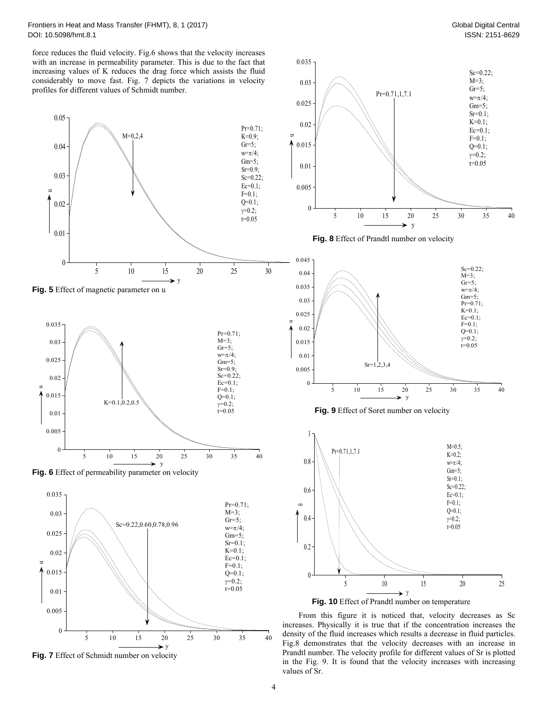force reduces the fluid velocity. Fig.6 shows that the velocity increases with an increase in permeability parameter. This is due to the fact that increasing values of K reduces the drag force which assists the fluid considerably to move fast. Fig. 7 depicts the variations in velocity













**Fig. 10** Effect of Prandtl number on temperature

 $\rightarrow$  V

From this figure it is noticed that, velocity decreases as Sc increases. Physically it is true that if the concentration increases the density of the fluid increases which results a decrease in fluid particles. Fig.8 demonstrates that the velocity decreases with an increase in Prandtl number. The velocity profile for different values of Sr is plotted in the Fig. 9. It is found that the velocity increases with increasing values of Sr.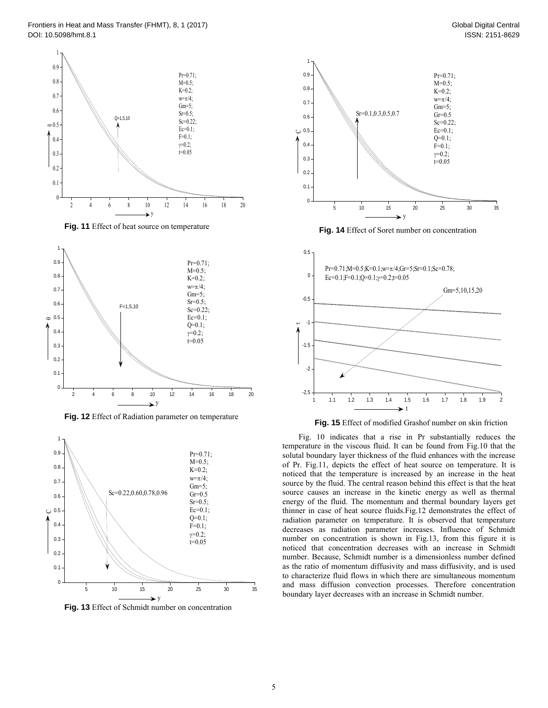

Fig. 11 Effect of heat source on temperature



**Fig. 12** Effect of Radiation parameter on temperature



**Fig. 13** Effect of Schmidt number on concentration



**Fig. 14** Effect of Soret number on concentration



**Fig. 15** Effect of modified Grashof number on skin friction

Fig. 10 indicates that a rise in Pr substantially reduces the temperature in the viscous fluid. It can be found from Fig.10 that the solutal boundary layer thickness of the fluid enhances with the increase of Pr. Fig.11, depicts the effect of heat source on temperature. It is noticed that the temperature is increased by an increase in the heat source by the fluid. The central reason behind this effect is that the heat source causes an increase in the kinetic energy as well as thermal energy of the fluid. The momentum and thermal boundary layers get thinner in case of heat source fluids.Fig.12 demonstrates the effect of radiation parameter on temperature. It is observed that temperature decreases as radiation parameter increases. Influence of Schmidt number on concentration is shown in Fig.13, from this figure it is noticed that concentration decreases with an increase in Schmidt number. Because, Schmidt number is a dimensionless number defined as the ratio of momentum diffusivity and mass diffusivity, and is used to characterize fluid flows in which there are simultaneous momentum and mass diffusion convection processes. Therefore concentration boundary layer decreases with an increase in Schmidt number.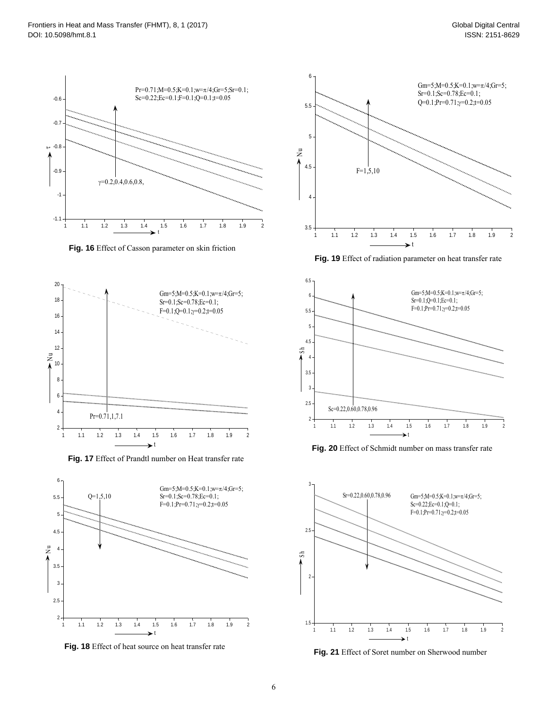

**Fig. 16** Effect of Casson parameter on skin friction



**Fig. 17** Effect of Prandtl number on Heat transfer rate







**Fig. 19** Effect of radiation parameter on heat transfer rate



**Fig. 20** Effect of Schmidt number on mass transfer rate



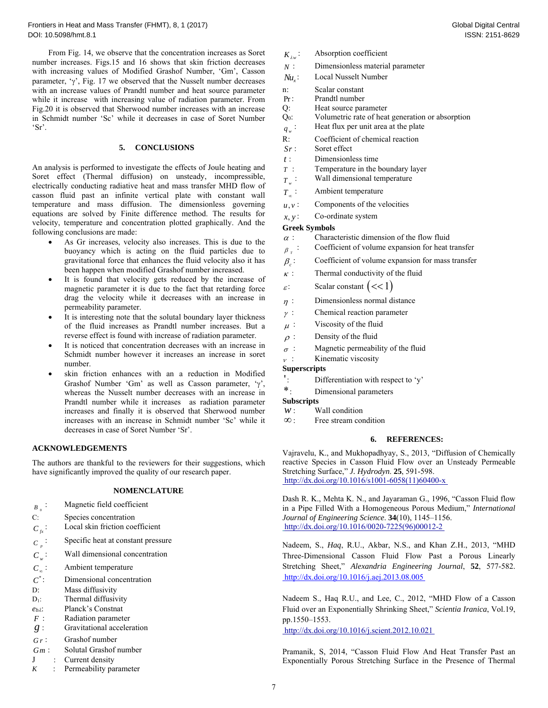From Fig. 14, we observe that the concentration increases as Soret number increases. Figs.15 and 16 shows that skin friction decreases with increasing values of Modified Grashof Number, 'Gm', Casson parameter,  $\gamma$ , Fig. 17 we observed that the Nusselt number decreases with an increase values of Prandtl number and heat source parameter while it increase with increasing value of radiation parameter. From Fig.20 it is observed that Sherwood number increases with an increase in Schmidt number 'Sc' while it decreases in case of Soret Number 'Sr'.

# **5. CONCLUSIONS**

An analysis is performed to investigate the effects of Joule heating and Soret effect (Thermal diffusion) on unsteady, incompressible, electrically conducting radiative heat and mass transfer MHD flow of casson fluid past an infinite vertical plate with constant wall temperature and mass diffusion. The dimensionless governing equations are solved by Finite difference method. The results for velocity, temperature and concentration plotted graphically. And the following conclusions are made:

- As Gr increases, velocity also increases. This is due to the buoyancy which is acting on the fluid particles due to gravitational force that enhances the fluid velocity also it has been happen when modified Grashof number increased.
- It is found that velocity gets reduced by the increase of magnetic parameter it is due to the fact that retarding force drag the velocity while it decreases with an increase in permeability parameter.
- It is interesting note that the solutal boundary layer thickness of the fluid increases as Prandtl number increases. But a reverse effect is found with increase of radiation parameter.
- It is noticed that concentration decreases with an increase in Schmidt number however it increases an increase in soret number.
- skin friction enhances with an a reduction in Modified Grashof Number 'Gm' as well as Casson parameter, ' $\gamma$ ', whereas the Nusselt number decreases with an increase in Prandtl number while it increases as radiation parameter increases and finally it is observed that Sherwood number increases with an increase in Schmidt number 'Sc' while it decreases in case of Soret Number 'Sr'.

# **ACKNOWLEDGEMENTS**

The authors are thankful to the reviewers for their suggestions, which have significantly improved the quality of our research paper.

# **NOMENCLATURE**

- *B* 0 : Magnetic field coefficient
- C: Species concentration
- $C_f$ : Local skin friction coefficient
- $C_p$ <sup>:</sup> Specific heat at constant pressure
- $C_w$ : **Wall dimensional concentration**
- $C_{\infty}$ :
- $C_{\infty}$ : Ambient temperature<br>  $C^*$ : Dimensional concenti *C*<sup>\*</sup>: Dimensional concentration<br>D: Mass diffusivity<br>D<sub>1</sub>: Thermal diffusivity
- 
- 
- *eb*: Planck's Constnat
- 
- *F* : Radiation parameter<br>*g* : Gravitational acceleration
- *G r* : Grashof number
- *Gm* : Solutal Grashof number
- J : Current density
- *K* : Permeability parameter
- $K_{\lambda w}$ : Absorption coefficient
- *N* : Dimensionless material parameter
- *Nu<sub>x</sub>*: Local Nusselt Number
- n: Scalar constant
- Pr: Prandtl number
- 
- $Q$ : Heat source parameter  $Q_0$ : Volumetric rate of heat generation or absorption
- $q_w$  : Heat flux per unit area at the plate
- R: Coefficient of chemical reaction
- *Sr* : Soret effect
- *t* : Dimensionless time
- *T* : Temperature in the boundary layer
- *T*  $\cdot$  : Wall dimensional temperature
- *T*<sub>*n*</sub>: Ambient temperature
- $u, v$ : Components of the velocities
- $x, y$ : Co-ordinate system

## **Greek Symbols**

- $\alpha$ : Characteristic dimension of the flow fluid
- $\beta$ <sub>r</sub> : : Coefficient of volume expansion for heat transfer
- $\beta$ : Coefficient of volume expansion for mass transfer
- $\kappa$ : Thermal conductivity of the fluid
- $\varepsilon$ : Scalar constant  $\leq$  1)
- $n$ : Dimensionless normal distance
- $\gamma$ : Chemical reaction parameter
- $\mu$ : Viscosity of the fluid
- $\rho$ : Density of the fluid
- $\sigma$ : Magnetic permeability of the fluid
- $v$ : Kinematic viscosity
	- **Superscripts**
	- ': Differentiation with respect to 'y' \*: Dimensional parameters
	-
- 
- 
- **Subscripts**<br> *w* : Wall condition<br>  $\infty$  : Free stream condition

#### **6. REFERENCES:**

Vajravelu, K., and Mukhopadhyay, S., 2013, "Diffusion of Chemically reactive Species in Casson Fluid Flow over an Unsteady Permeable Stretching Surface," *J. Hydrodyn*. **25**, 591-598. http://dx.doi.org/10.1016/s1001-6058(11)60400-x

Dash R. K., Mehta K. N., and Jayaraman G., 1996, "Casson Fluid flow in a Pipe Filled With a Homogeneous Porous Medium," *International Journal of Engineering Science*. **34**(10), 1145–1156. http://dx.doi.org/10.1016/0020-7225(96)00012-2

Nadeem, S., *Haq*, R.U., Akbar, N.S., and Khan Z.H., 2013, "MHD Three-Dimensional Casson Fluid Flow Past a Porous Linearly Stretching Sheet," *Alexandria Engineering Journal*, **52**, 577-582. http://dx.doi.org/10.1016/j.aej.2013.08.005

Nadeem S., Haq R.U., and Lee, C., 2012, "MHD Flow of a Casson Fluid over an Exponentially Shrinking Sheet," *Scientia Iranica*, Vol.19, pp.1550–1553.

http://dx.doi.org/10.1016/j.scient.2012.10.021

Pramanik, S, 2014, "Casson Fluid Flow And Heat Transfer Past an Exponentially Porous Stretching Surface in the Presence of Thermal